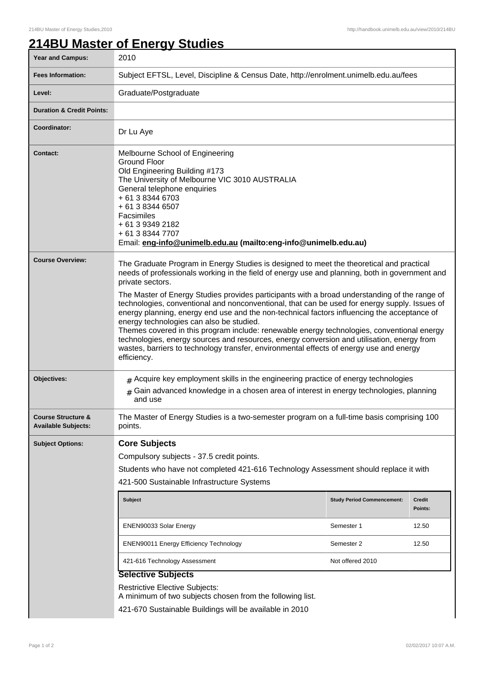## **214BU Master of Energy Studies**

| <b>Year and Campus:</b>                                     | 2010                                                                                                                                                                                                                                                                                                                                                                                                                                                                                                                                                                                                                                                                                                                                                                                                                                                              |                  |         |  |
|-------------------------------------------------------------|-------------------------------------------------------------------------------------------------------------------------------------------------------------------------------------------------------------------------------------------------------------------------------------------------------------------------------------------------------------------------------------------------------------------------------------------------------------------------------------------------------------------------------------------------------------------------------------------------------------------------------------------------------------------------------------------------------------------------------------------------------------------------------------------------------------------------------------------------------------------|------------------|---------|--|
| <b>Fees Information:</b>                                    | Subject EFTSL, Level, Discipline & Census Date, http://enrolment.unimelb.edu.au/fees                                                                                                                                                                                                                                                                                                                                                                                                                                                                                                                                                                                                                                                                                                                                                                              |                  |         |  |
| Level:                                                      | Graduate/Postgraduate                                                                                                                                                                                                                                                                                                                                                                                                                                                                                                                                                                                                                                                                                                                                                                                                                                             |                  |         |  |
| <b>Duration &amp; Credit Points:</b>                        |                                                                                                                                                                                                                                                                                                                                                                                                                                                                                                                                                                                                                                                                                                                                                                                                                                                                   |                  |         |  |
| Coordinator:                                                | Dr Lu Aye                                                                                                                                                                                                                                                                                                                                                                                                                                                                                                                                                                                                                                                                                                                                                                                                                                                         |                  |         |  |
| Contact:                                                    | Melbourne School of Engineering<br><b>Ground Floor</b><br>Old Engineering Building #173<br>The University of Melbourne VIC 3010 AUSTRALIA<br>General telephone enquiries<br>+ 61 3 8344 6703<br>+ 61 3 8344 6507<br>Facsimiles<br>+ 61 3 9349 2182<br>+ 61 3 8344 7707<br>Email: eng-info@unimelb.edu.au (mailto:eng-info@unimelb.edu.au)                                                                                                                                                                                                                                                                                                                                                                                                                                                                                                                         |                  |         |  |
| <b>Course Overview:</b>                                     | The Graduate Program in Energy Studies is designed to meet the theoretical and practical<br>needs of professionals working in the field of energy use and planning, both in government and<br>private sectors.<br>The Master of Energy Studies provides participants with a broad understanding of the range of<br>technologies, conventional and nonconventional, that can be used for energy supply. Issues of<br>energy planning, energy end use and the non-technical factors influencing the acceptance of<br>energy technologies can also be studied.<br>Themes covered in this program include: renewable energy technologies, conventional energy<br>technologies, energy sources and resources, energy conversion and utilisation, energy from<br>wastes, barriers to technology transfer, environmental effects of energy use and energy<br>efficiency. |                  |         |  |
| Objectives:                                                 | $#$ Acquire key employment skills in the engineering practice of energy technologies<br>$#$ Gain advanced knowledge in a chosen area of interest in energy technologies, planning<br>and use                                                                                                                                                                                                                                                                                                                                                                                                                                                                                                                                                                                                                                                                      |                  |         |  |
| <b>Course Structure &amp;</b><br><b>Available Subjects:</b> | The Master of Energy Studies is a two-semester program on a full-time basis comprising 100<br>points.                                                                                                                                                                                                                                                                                                                                                                                                                                                                                                                                                                                                                                                                                                                                                             |                  |         |  |
| <b>Subject Options:</b>                                     | <b>Core Subjects</b><br>Compulsory subjects - 37.5 credit points.<br>Students who have not completed 421-616 Technology Assessment should replace it with<br>421-500 Sustainable Infrastructure Systems<br><b>Subject</b><br><b>Study Period Commencement:</b><br>Credit                                                                                                                                                                                                                                                                                                                                                                                                                                                                                                                                                                                          |                  |         |  |
|                                                             |                                                                                                                                                                                                                                                                                                                                                                                                                                                                                                                                                                                                                                                                                                                                                                                                                                                                   |                  | Points: |  |
|                                                             | ENEN90033 Solar Energy                                                                                                                                                                                                                                                                                                                                                                                                                                                                                                                                                                                                                                                                                                                                                                                                                                            | Semester 1       | 12.50   |  |
|                                                             | <b>ENEN90011 Energy Efficiency Technology</b>                                                                                                                                                                                                                                                                                                                                                                                                                                                                                                                                                                                                                                                                                                                                                                                                                     | Semester 2       | 12.50   |  |
|                                                             | 421-616 Technology Assessment<br><b>Selective Subjects</b>                                                                                                                                                                                                                                                                                                                                                                                                                                                                                                                                                                                                                                                                                                                                                                                                        | Not offered 2010 |         |  |
|                                                             | <b>Restrictive Elective Subjects:</b><br>A minimum of two subjects chosen from the following list.<br>421-670 Sustainable Buildings will be available in 2010                                                                                                                                                                                                                                                                                                                                                                                                                                                                                                                                                                                                                                                                                                     |                  |         |  |